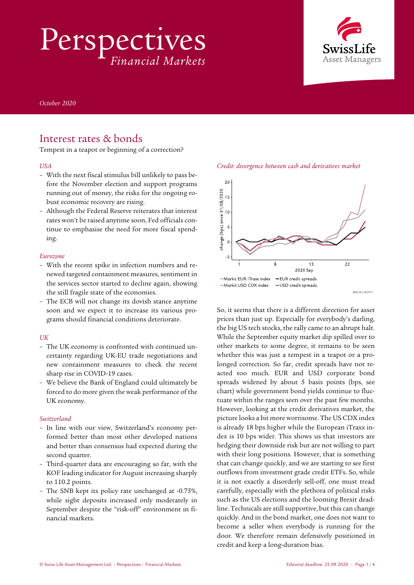Perspectives *Financial Markets*



*October 2020* 

### Interest rates & bonds

Tempest in a teapot or beginning of a correction?

### *USA*

- With the next fiscal stimulus bill unlikely to pass before the November election and support programs running out of money, the risks for the ongoing robust economic recovery are rising.
- Although the Federal Reserve reiterates that interest rates won't be raised anytime soon, Fed officials continue to emphasise the need for more fiscal spending.

#### *Eurozone*

- With the recent spike in infection numbers and renewed targeted containment measures, sentiment in the services sector started to decline again, showing the still fragile state of the economies.
- The ECB will not change its dovish stance anytime soon and we expect it to increase its various programs should financial conditions deteriorate.

### *UK*

- The UK economy is confronted with continued uncertainty regarding UK-EU trade negotiations and new containment measures to check the recent sharp rise in COVID-19 cases.
- We believe the Bank of England could ultimately be forced to do more given the weak performance of the UK economy.

#### *Switzerland*

- In line with our view, Switzerland's economy performed better than most other developed nations and better than consensus had expected during the second quarter.
- Third-quarter data are encouraging so far, with the KOF leading indicator for August increasing sharply to 110.2 points.
- The SNB kept its policy rate unchanged at -0.75%, while sight deposits increased only moderately in September despite the "risk-off" environment in financial markets.





So, it seems that there is a different direction for asset prices than just up. Especially for everybody's darling, the big US tech stocks, the rally came to an abrupt halt. While the September equity market dip spilled over to other markets to some degree, it remains to be seen whether this was just a tempest in a teapot or a prolonged correction. So far, credit spreads have not reacted too much. EUR and USD corporate bond spreads widened by about 5 basis points (bps, see chart) while government bond yields continue to fluctuate within the ranges seen over the past few months. However, looking at the credit derivatives market, the picture looks a bit more worrisome. The US CDX index is already 18 bps higher while the European iTraxx index is 10 bps wider. This shows us that investors are hedging their downside risk but are not willing to part with their long positions. However, that is something that can change quickly, and we are starting to see first outflows from investment grade credit ETFs. So, while it is not exactly a disorderly sell-off, one must tread carefully, especially with the plethora of political risks such as the US elections and the looming Brexit deadline. Technicals are still supportive, but this can change quickly. And in the bond market, one does not want to become a seller when everybody is running for the door. We therefore remain defensively positioned in credit and keep a long-duration bias.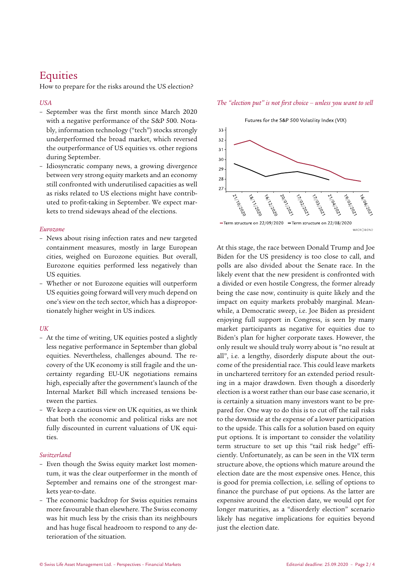# **Equities**

How to prepare for the risks around the US election?

### *USA*

- September was the first month since March 2020 with a negative performance of the S&P 500. Notably, information technology ("tech") stocks strongly underperformed the broad market, which reversed the outperformance of US equities vs. other regions during September.
- Idiosyncratic company news, a growing divergence between very strong equity markets and an economy still confronted with underutilised capacities as well as risks related to US elections might have contributed to profit-taking in September. We expect markets to trend sideways ahead of the elections.

### *Eurozone*

- News about rising infection rates and new targeted containment measures, mostly in large European cities, weighed on Eurozone equities. But overall, Eurozone equities performed less negatively than US equities.
- Whether or not Eurozone equities will outperform US equities going forward will very much depend on one's view on the tech sector, which has a disproportionately higher weight in US indices.

### $I$ *IK*

- At the time of writing, UK equities posted a slightly less negative performance in September than global equities. Nevertheless, challenges abound. The recovery of the UK economy is still fragile and the uncertainty regarding EU-UK negotiations remains high, especially after the government's launch of the Internal Market Bill which increased tensions between the parties.
- We keep a cautious view on UK equities, as we think that both the economic and political risks are not fully discounted in current valuations of UK equities.

### *Switzerland*

- Even though the Swiss equity market lost momentum, it was the clear outperformer in the month of September and remains one of the strongest markets year-to-date.
- The economic backdrop for Swiss equities remains more favourable than elsewhere. The Swiss economy was hit much less by the crisis than its neighbours and has huge fiscal headroom to respond to any deterioration of the situation.

*The "election put" is not first choice – unless you want to sell*

Futures for the S&P 500 Volatility Index (VIX)



At this stage, the race between Donald Trump and Joe Biden for the US presidency is too close to call, and polls are also divided about the Senate race. In the likely event that the new president is confronted with a divided or even hostile Congress, the former already being the case now, continuity is quite likely and the impact on equity markets probably marginal. Meanwhile, a Democratic sweep, i.e. Joe Biden as president enjoying full support in Congress, is seen by many market participants as negative for equities due to Biden's plan for higher corporate taxes. However, the only result we should truly worry about is "no result at all", i.e. a lengthy, disorderly dispute about the outcome of the presidential race. This could leave markets in unchartered territory for an extended period resulting in a major drawdown. Even though a disorderly election is a worst rather than our base case scenario, it is certainly a situation many investors want to be prepared for. One way to do this is to cut off the tail risks to the downside at the expense of a lower participation to the upside. This calls for a solution based on equity put options. It is important to consider the volatility term structure to set up this "tail risk hedge" efficiently. Unfortunately, as can be seen in the VIX term structure above, the options which mature around the election date are the most expensive ones. Hence, this is good for premia collection, i.e. selling of options to finance the purchase of put options. As the latter are expensive around the election date, we would opt for longer maturities, as a "disorderly election" scenario likely has negative implications for equities beyond just the election date.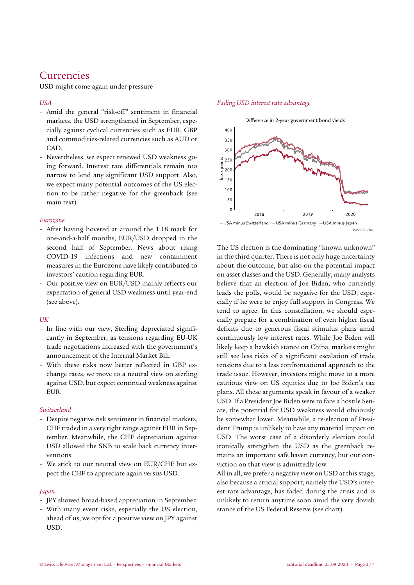## Currencies

USD might come again under pressure

### *USA*

- Amid the general "risk-off" sentiment in financial markets, the USD strengthened in September, especially against cyclical currencies such as EUR, GBP and commodities-related currencies such as AUD or CAD.
- Nevertheless, we expect renewed USD weakness going forward. Interest rate differentials remain too narrow to lend any significant USD support. Also, we expect many potential outcomes of the US election to be rather negative for the greenback (see main text).

### *Eurozone*

- After having hovered at around the 1.18 mark for one-and-a-half months, EUR/USD dropped in the second half of September. News about rising COVID-19 infections and new containment measures in the Eurozone have likely contributed to investors' caution regarding EUR.
- Our positive view on EUR/USD mainly reflects our expectation of general USD weakness until year-end (see above).

### *UK*

- In line with our view, Sterling depreciated significantly in September, as tensions regarding EU-UK trade negotiations increased with the government's announcement of the Internal Market Bill.
- With these risks now better reflected in GBP exchange rates, we move to a neutral view on sterling against USD, but expect continued weakness against EUR.

### *Switzerland*

- Despite negative risk sentiment in financial markets, CHF traded in a very tight range against EUR in September. Meanwhile, the CHF depreciation against USD allowed the SNB to scale back currency interventions.
- We stick to our neutral view on EUR/CHF but expect the CHF to appreciate again versus USD.

### *Japan*

- JPY showed broad-based appreciation in September.
- With many event risks, especially the US election, ahead of us, we opt for a positive view on JPY against USD.

### *Fading USD interest rate advantage*



The US election is the dominating "known unknown" in the third quarter. There is not only huge uncertainty about the outcome, but also on the potential impact on asset classes and the USD. Generally, many analysts believe that an election of Joe Biden, who currently leads the polls, would be negative for the USD, especially if he were to enjoy full support in Congress. We tend to agree. In this constellation, we should especially prepare for a combination of even higher fiscal deficits due to generous fiscal stimulus plans amid continuously low interest rates. While Joe Biden will likely keep a hawkish stance on China, markets might still see less risks of a significant escalation of trade tensions due to a less confrontational approach to the trade issue. However, investors might move to a more cautious view on US equities due to Joe Biden's tax plans. All these arguments speak in favour of a weaker USD. If a President Joe Biden were to face a hostile Senate, the potential for USD weakness would obviously be somewhat lower. Meanwhile, a re-election of President Trump is unlikely to have any material impact on USD. The worst case of a disorderly election could ironically strengthen the USD as the greenback remains an important safe haven currency, but our conviction on that view is admittedly low.

All in all, we prefer a negative view on USD at this stage, also because a crucial support, namely the USD's interest rate advantage, has faded during the crisis and is unlikely to return anytime soon amid the very dovish stance of the US Federal Reserve (see chart).